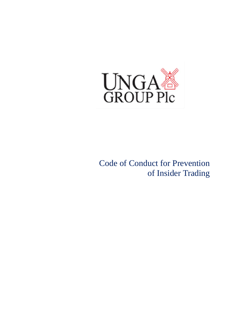

Code of Conduct for Prevention of Insider Trading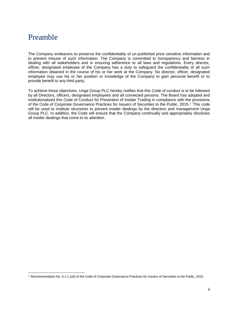## <span id="page-1-0"></span>Preamble

 $\overline{\phantom{a}}$ 

The Company endeavors to preserve the confidentiality of un-published price sensitive information and to prevent misuse of such information. The Company is committed to transparency and fairness in dealing with all stakeholders and in ensuring adherence to all laws and regulations. Every director, officer, designated employee of the Company has a duty to safeguard the confidentiality of all such information obtained in the course of his or her work at the Company. No director, officer, designated employee may use his or her position or knowledge of the Company to gain personal benefit or to provide benefit to any third party.

To achieve these objectives, Unga Group PLC hereby notifies that this Code of conduct is to be followed by all Directors, officers, designated employees and all connected persons. The Board has adopted and institutionalized this Code of Conduct for Prevention of Insider Trading in compliance with the provisions of the Code of Corporate Governance Practices for Issuers of Securities to the Public, 2015. <sup>1</sup> This code will be used to institute structures to prevent insider dealings by the directors and management Unga Group PLC. In addition, the Code will ensure that the Company continually and appropriately discloses all insider dealings that come to its attention.

<sup>1</sup> Recommendation No. 6.1.1 (xiii) of the Code of Corporate Governance Practices for Issuers of Securities to the Public, 2015.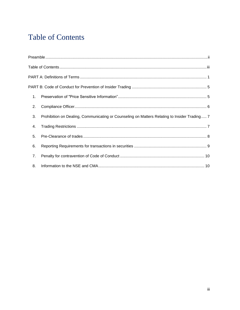# <span id="page-2-0"></span>**Table of Contents**

| 1. |                                                                                              |  |  |  |  |
|----|----------------------------------------------------------------------------------------------|--|--|--|--|
| 2. |                                                                                              |  |  |  |  |
| 3. | Prohibition on Dealing, Communicating or Counseling on Matters Relating to Insider Trading 7 |  |  |  |  |
| 4. |                                                                                              |  |  |  |  |
| 5. |                                                                                              |  |  |  |  |
| 6. |                                                                                              |  |  |  |  |
| 7. |                                                                                              |  |  |  |  |
| 8. |                                                                                              |  |  |  |  |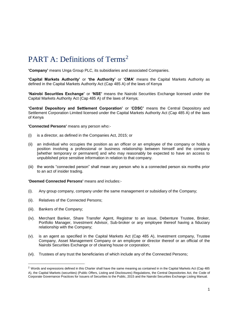# <span id="page-3-0"></span>PART A: Definitions of Terms<sup>2</sup>

**'Company'** means Unga Group PLC, its subsidiaries and associated Companies.

**'Capital Markets Authority'** or **'the Authority'** or '**CMA'** means the Capital Markets Authority as defined in the Capital Markets Authority Act (Cap 485 A) of the laws of Kenya

**'Nairobi Securities Exchange'** or **'NSE'** means the Nairobi Securities Exchange licensed under the Capital Markets Authority Act (Cap 485 A) of the laws of Kenya;

**'Central Depository and Settlement Corporation'** or '**CDSC'** means the Central Depository and Settlement Corporation Limited licensed under the Capital Markets Authority Act (Cap 485 A) of the laws of Kenya

**'Connected Persons'** means any person who:-

- (i) is a director, as defined in the Companies Act, 2015; or
- (ii) an individual who occupies the position as an officer or an employee of the company or holds a position involving a professional or business relationship between himself and the company [whether temporary or permanent] and who may reasonably be expected to have an access to unpublished price sensitive information in relation to that company.
- (iii) the words "connected person" shall mean any person who is a connected person six months prior to an act of insider trading.

**'Deemed Connected Persons'** means and includes:-

- (i). Any group company, company under the same management or subsidiary of the Company;
- (ii). Relatives of the Connected Persons;
- (iii). Bankers of the Company;

 $\overline{\phantom{a}}$ 

- (iv). Merchant Banker, Share Transfer Agent, Registrar to an issue, Debenture Trustee, Broker, Portfolio Manager, Investment Advisor, Sub-broker or any employee thereof having a fiduciary relationship with the Company;
- (v). is an agent as specified in the Capital Markets Act (Cap 485 A), Investment company, Trustee Company, Asset Management Company or an employee or director thereof or an official of the Nairobi Securities Exchange or of clearing house or corporation;
- (vi). Trustees of any trust the beneficiaries of which include any of the Connected Persons;

 $2$  Words and expressions defined in this Charter shall have the same meaning as contained in in the Capital Markets Act (Cap 485 A), the Capital Markets (securities) (Public Offers, Listing and Disclosures) Regulations, the Central Depositories Act, the Code of Corporate Governance Practices for Issuers of Securities to the Public, 2015 and the Nairobi Securities Exchange Listing Manual.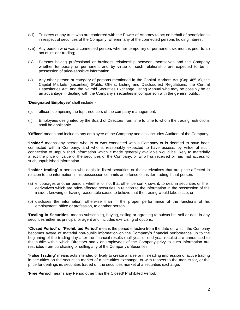- (vii). Trustees of any trust who are conferred with the Power of Attorney to act on behalf of beneficiaries in respect of securities of the Company, wherein any of the connected persons holding interest;
- (viii). Any person who was a connected person, whether temporary or permanent six months prior to an act of insider trading;
- (ix). Persons having professional or business relationship between themselves and the Company whether temporary or permanent and by virtue of such relationship are expected to be in possession of price-sensitive information;
- (x). Any other person or category of persons mentioned in the Capital Markets Act (Cap 485 A), the Capital Markets (securities) (Public Offers, Listing and Disclosures) Regulations, the Central Depositories Act, and the Nairobi Securities Exchange Listing Manual who may be possibly be at an advantage in dealing with the Company's securities in comparison with the general public.

#### **'Designated Employee'** shall include:-

- (i). officers comprising the top three tiers of the company management;
- (ii). Employees designated by the Board of Directors from time to time to whom the trading restrictions shall be applicable.

**'Officer'** means and includes any employee of the Company and also includes Auditors of the Company;

**'Insider'** means any person who, is or was connected with a Company or is deemed to have been connected with a Company, and who is reasonably expected to have access, by virtue of such connection to unpublished information which if made generally available would be likely to materially affect the price or value of the securities of the Company, or who has received or has had access to such unpublished information.

**'Insider trading'** a person who deals in listed securities or their derivatives that are price-affected in relation to the information in his possession commits an offence of insider trading if that person:-

- (a) encourages another person, whether or not that other person knows it, to deal in securities or their derivatives which are price-affected securities in relation to the information in the possession of the insider, knowing or having reasonable cause to believe that the trading would take place; or
- (b) discloses the information, otherwise than in the proper performance of the functions of his employment, office or profession, to another person.

**'Dealing in Securities'** means subscribing, buying, selling or agreeing to subscribe, sell or deal in any securities either as principal or agent and includes exercising of options;

**'Closed Period' or 'Prohibited Period'** means the period effective from the date on which the Company becomes aware of material non-public information on the Company's financial performance up to the beginning of the trading day after the financial results (half year or end year results) are announced to the public within which Directors and / or employees of the Company privy to such information are restricted from purchasing or selling any of the Company's Securities.

**'False Trading'** means acts intended or likely to create a false or misleading impression of active trading in securities on the securities market of a securities exchange; or with respect to the market for, or the price for dealings in, securities traded on the securities market of a securities exchange;

**'Free Period'** means any Period other than the Closed/ Prohibited Period.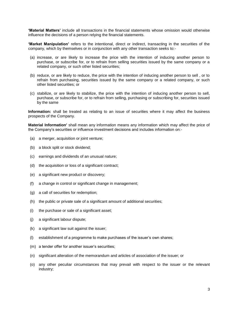**'Material Matters'** include all transactions in the financial statements whose omission would otherwise influence the decisions of a person relying the financial statements.

**'Market Manipulation'** refers to the intentional, direct or indirect, transacting in the securities of the company, which by themselves or in conjunction with any other transaction seeks to:-

- (a) increase, or are likely to increase the price with the intention of inducing another person to purchase, or subscribe for, or to refrain from selling securities issued by the same company or a related company, or such other listed securities;
- (b) reduce, or are likely to reduce, the price with the intention of inducing another person to sell , or to refrain from purchasing, securities issued by the same company or a related company, or such other listed securities; or
- (c) stabilize, or are likely to stabilize, the price with the intention of inducing another person to sell, purchase, or subscribe for, or to refrain from selling, purchasing or subscribing for, securities issued by the same

**Information:** shall be treated as relating to an issue of securities where it may affect the business prospects of the Company.

**Material Information'** shall mean any information means any information which may affect the price of the Company's securities or influence investment decisions and includes information on:-

- (a) a merger, acquisition or joint venture;
- (b) a block split or stock dividend;
- (c) earnings and dividends of an unusual nature;
- (d) the acquisition or loss of a significant contract;
- (e) a significant new product or discovery;
- (f) a change in control or significant change in management;
- (g) a call of securities for redemption;
- (h) the public or private sale of a significant amount of additional securities;
- (i) the purchase or sale of a significant asset;
- (j) a significant labour dispute;
- (k) a significant law suit against the issuer;
- (l) establishment of a programme to make purchases of the issuer's own shares;
- (m) a tender offer for another issuer's securities;
- (n) significant alteration of the memorandum and articles of association of the issuer; or
- (o) any other peculiar circumstances that may prevail with respect to the issuer or the relevant industry;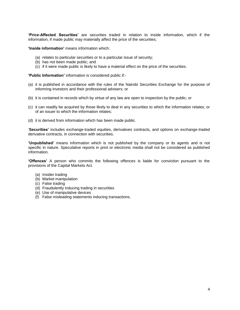**'Price-Affected Securities'** are securities traded in relation to inside information, which if the information, if made public may materially affect the price of the securities;

**'Inside information'** means information which;

- (a) relates to particular securities or to a particular issue of security;
- (b) has not been made public; and
- (c) if it were made public is likely to have a material effect on the price of the securities.

**'Public Information'** information is considered public if:-

- (a) it is published in accordance with the rules of the Nairobi Securities Exchange for the purpose of informing investors and their professional advisers; or
- (b) it is contained in records which by virtue of any law are open to inspection by the public; or
- (c) it can readily be acquired by those likely to deal in any securities to which the information relates; or of an issuer to which the information relates;
- (d) it is derived from information which has been made public.

'**Securities'** includes exchange-traded equities, derivatives contracts, and options on exchange-traded derivative contracts, in connection with securities.

**'Unpublished'** means information which is not published by the company or its agents and is not specific in nature. Speculative reports in print or electronic media shall not be considered as published information.

**'Offences'** A person who commits the following offences is liable for conviction pursuant to the provisions of the Capital Markets Act.

- (a) Insider trading
- (b) Market manipulation
- (c) False trading
- (d) Fraudulently inducing trading in securities
- (e) Use of manipulative devices
- (f) False misleading statements inducing transactions.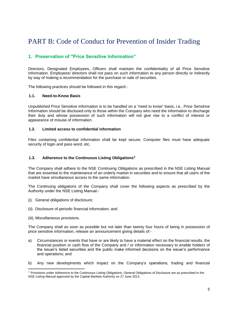## <span id="page-7-0"></span>PART B: Code of Conduct for Prevention of Insider Trading

## <span id="page-7-1"></span>**1. Preservation of "Price Sensitive Information"**

Directors, Designated Employees, Officers shall maintain the confidentiality of all Price Sensitive Information. Employees/ directors shall not pass on such information to any person directly or indirectly by way of making a recommendation for the purchase or sale of securities.

The following practices should be followed in this regard:-

#### **1.1. Need-to-Know Basis**

Unpublished Price Sensitive Information is to be handled on a "need to know" basis, i.e., Price Sensitive Information should be disclosed only to those within the Company who need the information to discharge their duty and whose possession of such information will not give rise to a conflict of interest or appearance of misuse of information.

#### **1.2. Limited access to confidential information**

Files containing confidential information shall be kept secure. Computer files must have adequate security of login and pass word, etc.

#### **1.3. Adherence to the Continuous Listing Obligations<sup>3</sup>**

The Company shall adhere to the NSE Continuing Obligations as prescribed in the NSE Listing Manual that are essential to the maintenance of an orderly market in securities and to ensure that all users of the market have simultaneous access to the same information.

The Continuing obligations of the Company shall cover the following aspects as prescribed by the Authority under the NSE Listing Manual:-

- (i). General obligations of disclosure;
- (ii). Disclosure of periodic financial information; and
- (iii). Miscellaneous provisions.

l

The Company shall as soon as possible but not later than twenty four hours of being in possession of price sensitive information, release an announcement giving details of:-

- a) Circumstances or events that have or are likely to have a material effect on the financial results, the financial position or cash flow of the Company and / or information necessary to enable holders of the issuer's listed securities and the public make informed decisions on the issuer's performance and operations; and
- b) Any new developments which impact on the Company's operations, trading and financial

<sup>&</sup>lt;sup>3</sup> Provisions under Adherence to the Continuous Listing Obligations, General Obligations of Disclosure are as prescribed in the NSE Listing Manual approved by the Capital Markets Authority on 27 June 2013.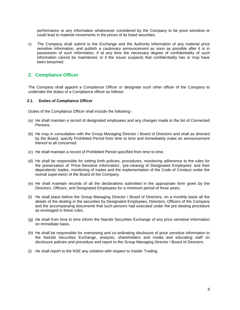performance or any information whatsoever considered by the Company to be price sensitive or could lead to material movements in the prices of its listed securities.

c) The Company shall submit to the Exchange and the Authority information of any material price sensitive information, and publish a cautionary announcement as soon as possible after it is in possession of such information, if at any time the necessary degree of confidentiality of such information cannot be maintained, or if the issuer suspects that confidentiality has or may have been breached.

### <span id="page-8-0"></span>**2. Compliance Officer**

The Company shall appoint a Compliance Officer or designate such other officer of the Company to undertake the duties of a Compliance officer as follows:

#### **2.1. Duties of Compliance Officer**

Duties of the Compliance Officer shall include the following:-

- (a) He shall maintain a record of designated employees and any changes made to the list of Connected Persons.
- (b) He may in consultation with the Group Managing Director / Board of Directors and shall as directed by the Board, specify Prohibited Period from time to time and immediately make an announcement thereof to all concerned.
- (c) He shall maintain a record of Prohibited Period specified from time to time.
- (d) He shall be responsible for setting forth policies, procedures, monitoring adherence to the rules for the preservation of 'Price-Sensitive Information', 'pre-clearing of Designated Employees' and their dependents' trades, monitoring of trades and the implementation of the Code of Conduct under the overall supervision of the Board of the Company.
- (e) He shall maintain records of all the declarations submitted in the appropriate form given by the Directors, Officers, and Designated Employees for a minimum period of three years.
- (f) He shall place before the Group Managing Director / Board of Directors, on a monthly basis all the details of the dealing in the securities by Designated Employees, Directors, Officers of the Company and the accompanying documents that such persons had executed under the pre-dealing procedure as envisaged in these rules.
- (g) He shall from time to time inform the Nairobi Securities Exchange of any price sensitive information on immediate basis.
- (h) He shall be responsible for overseeing and co-ordinating disclosure of price sensitive information to the Nairobi Securities Exchange, analysts, shareholders and media and educating staff on disclosure policies and procedure and report to the Group Managing Director / Board of Directors.
- (i) He shall report to the NSE any violation with respect to Insider Trading.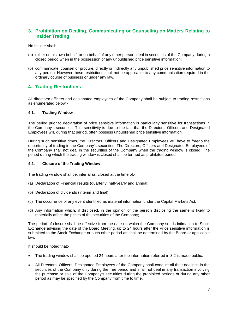## <span id="page-9-0"></span>**3. Prohibition on Dealing, Communicating or Counseling on Matters Relating to Insider Trading**

No Insider shall:-

- (a) either on his own behalf, or on behalf of any other person, deal in securities of the Company during a closed period when in the possession of any unpublished price sensitive information;
- (b) communicate, counsel or procure, directly or indirectly any unpublished price sensitive information to any person. However these restrictions shall not be applicable to any communication required in the ordinary course of business or under any law.

## <span id="page-9-1"></span>**4. Trading Restrictions**

All directors/ officers and designated employees of the Company shall be subject to trading restrictions as enumerated below:-

#### **4.1. Trading Window**

The period prior to declaration of price sensitive information is particularly sensitive for transactions in the Company's securities. This sensitivity is due to the fact that the Directors, Officers and Designated Employees will, during that period, often possess unpublished price sensitive information.

During such sensitive times, the Directors, Officers and Designated Employees will have to forego the opportunity of trading in the Company's securities. The Directors, Officers and Designated Employees of the Company shall not deal in the securities of the Company when the trading window is closed. The period during which the trading window is closed shall be termed as prohibited period.

#### **4.2. Closure of the Trading Window**

The trading window shall be, inter alias, closed at the time of:-

- (a) Declaration of Financial results (quarterly, half-yearly and annual);
- (b) Declaration of dividends (interim and final);
- (c) The occurrence of any event identified as material information under the Capital Markets Act.
- (d) Any information which, if disclosed, in the opinion of the person disclosing the same is likely to materially affect the prices of the securities of the Company;

The period of closure shall be effective from the date on which the Company sends intimation to Stock Exchange advising the date of the Board Meeting, up to 24 hours after the Price sensitive information is submitted to the Stock Exchange or such other period as shall be determined by the Board or applicable law.

It should be noted that:-

- The trading window shall be opened 24 hours after the information referred in 3.2 is made public.
- All Directors, Officers, Designated Employees of the Company shall conduct all their dealings in the securities of the Company only during the free period and shall not deal in any transaction involving the purchase or sale of the Company's securities during the prohibited periods or during any other period as may be specified by the Company from time to time.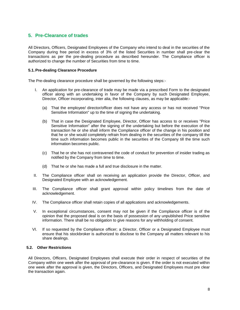## <span id="page-10-0"></span>**5. Pre-Clearance of trades**

All Directors, Officers, Designated Employees of the Company who intend to deal in the securities of the Company during free period in excess of 3% of the listed Securities in number shall pre-clear the transactions as per the pre-dealing procedure as described hereunder. The Compliance officer is authorized to change the number of Securities from time to time.

#### **5.1.Pre-dealing Clearance Procedure**

The Pre-dealing clearance procedure shall be governed by the following steps:-

- I. An application for pre-clearance of trade may be made via a prescribed Form to the designated officer along with an undertaking in favor of the Company by such Designated Employee, Director, Officer incorporating, inter alia, the following clauses, as may be applicable:-
	- (a) That the employee/ director/officer does not have any access or has not received "Price Sensitive Information" up to the time of signing the undertaking.
	- (b) That in case the Designated Employee, Director, Officer has access to or receives "Price Sensitive Information" after the signing of the undertaking but before the execution of the transaction he or she shall inform the Compliance officer of the change in his position and that he or she would completely refrain from dealing in the securities of the company till the time such information becomes public in the securities of the Company till the time such information becomes public.
	- (c) That he or she has not contravened the code of conduct for prevention of insider trading as notified by the Company from time to time.
	- (d) That he or she has made a full and true disclosure in the matter.
- II. The Compliance officer shall on receiving an application provide the Director, Officer, and Designated Employee with an acknowledgement.
- III. The Compliance officer shall grant approval within policy timelines from the date of acknowledgement.
- IV. The Compliance officer shall retain copies of all applications and acknowledgements.
- V. In exceptional circumstances, consent may not be given if the Compliance officer is of the opinion that the proposed deal is on the basis of possession of any unpublished Price sensitive information. There shall be no obligation to give reasons for any withholding of consent.
- VI. If so requested by the Compliance officer; a Director, Officer or a Designated Employee must ensure that his stockbroker is authorized to disclose to the Company all matters relevant to his share dealings.

#### **5.2. Other Restrictions**

All Directors, Officers, Designated Employees shall execute their order in respect of securities of the Company within one week after the approval of pre-clearance is given. If the order is not executed within one week after the approval is given, the Directors, Officers, and Designated Employees must pre clear the transaction again.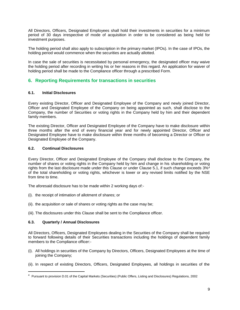All Directors, Officers, Designated Employees shall hold their investments in securities for a minimum period of 30 days irrespective of mode of acquisition in order to be considered as being held for investment purposes.

The holding period shall also apply to subscription in the primary market (IPOs). In the case of IPOs, the holding period would commence when the securities are actually allotted.

In case the sale of securities is necessitated by personal emergency, the designated officer may waive the holding period after recording in writing his or her reasons in this regard. An application for waiver of holding period shall be made to the Compliance officer through a prescribed Form.

## <span id="page-11-0"></span>**6. Reporting Requirements for transactions in securities**

#### **6.1. Initial Disclosures**

Every existing Director, Officer and Designated Employee of the Company and newly joined Director, Officer and Designated Employee of the Company on being appointed as such, shall disclose to the Company, the number of Securities or voting rights in the Company held by him and their dependent family members.

The existing Director, Officer and Designated Employee of the Company have to make disclosure within three months after the end of every financial year and for newly appointed Director, Officer and Designated Employee have to make disclosure within three months of becoming a Director or Officer or Designated Employee of the Company.

#### **6.2. Continual Disclosures**

Every Director, Officer and Designated Employee of the Company shall disclose to the Company, the number of shares or voting rights in the Company held by him and change in his shareholding or voting rights from the last disclosure made under this Clause or under Clause 5.1, if such change exceeds 3%<sup>4</sup> of the total shareholding or voting rights, whichever is lower or any revised limits notified by the NSE from time to time.

The aforesaid disclosure has to be made within 2 working days of:-

- (i). the receipt of intimation of allotment of shares; or
- (ii). the acquisition or sale of shares or voting rights as the case may be;
- (iii). The disclosures under this Clause shall be sent to the Compliance officer.

#### **6.3. Quarterly / Annual Disclosures**

 $\overline{\phantom{a}}$ 

All Directors, Officers, Designated Employees dealing in the Securities of the Company shall be required to forward following details of their Securities transactions including the holdings of dependent family members to the Compliance officer:-

- (i). All holdings in securities of the Company by Directors, Officers, Designated Employees at the time of joining the Company;
- (ii). In respect of existing Directors, Officers, Designated Employees, all holdings in securities of the

<sup>&</sup>lt;sup>4</sup> Pursuant to provision D.01 of the Capital Markets (Securities) (Public Offers, Listing and Disclosures) Regulations, 2002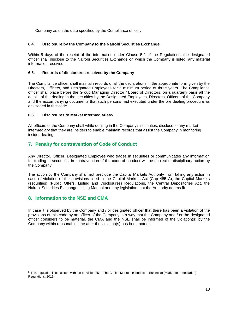Company as on the date specified by the Compliance officer.

#### **6.4. Disclosure by the Company to the Nairobi Securities Exchange**

Within 5 days of the receipt of the information under Clause 5.2 of the Regulations, the designated officer shall disclose to the Nairobi Securities Exchange on which the Company is listed, any material information received.

#### **6.5. Records of disclosures received by the Company**

The Compliance officer shall maintain records of all the declarations in the appropriate form given by the Directors, Officers, and Designated Employees for a minimum period of three years. The Compliance officer shall place before the Group Managing Director / Board of Directors, on a quarterly basis all the details of the dealing in the securities by the Designated Employees, Directors, Officers of the Company and the accompanying documents that such persons had executed under the pre dealing procedure as envisaged in this code.

#### **6.6. Disclosures to Market Intermediaries5**

All officers of the Company shall while dealing in the Company's securities, disclose to any market intermediary that they are insiders to enable maintain records that assist the Company in monitoring insider dealing.

## <span id="page-12-0"></span>**7. Penalty for contravention of Code of Conduct**

Any Director, Officer, Designated Employee who trades in securities or communicates any information for trading in securities, in contravention of the code of conduct will be subject to disciplinary action by the Company.

The action by the Company shall not preclude the Capital Markets Authority from taking any action in case of violation of the provisions cited in the Capital Markets Act (Cap 485 A), the Capital Markets (securities) (Public Offers, Listing and Disclosures) Regulations, the Central Depositories Act, the Nairobi Securities Exchange Listing Manual and any legislation that the Authority deems fit.

## <span id="page-12-1"></span>**8. Information to the NSE and CMA**

l

In case it is observed by the Company and / or designated officer that there has been a violation of the provisions of this code by an officer of the Company in a way that the Company and / or the designated officer considers to be material, the CMA and the NSE shall be informed of the violation(s) by the Company within reasonable time after the violation(s) has been noted.

<sup>5</sup> This regulation is consistent with the provision 25 of The Capital Markets (Conduct of Business) (Market Intermediaries) Regulations, 2011